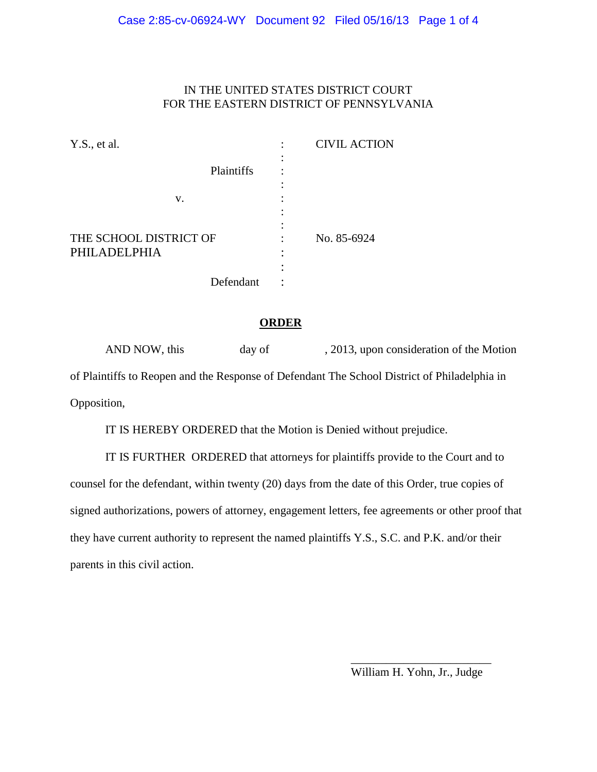#### IN THE UNITED STATES DISTRICT COURT FOR THE EASTERN DISTRICT OF PENNSYLVANIA

| Y.S., et al.           |            | <b>CIVIL ACTION</b> |
|------------------------|------------|---------------------|
|                        |            |                     |
|                        | Plaintiffs |                     |
|                        |            |                     |
| v.                     |            |                     |
|                        |            |                     |
|                        |            |                     |
| THE SCHOOL DISTRICT OF |            | No. 85-6924         |
| PHILADELPHIA           |            |                     |
|                        |            |                     |
|                        | Defendant  |                     |

#### **ORDER**

|             | AND NOW, this | day of | , 2013, upon consideration of the Motion                                                     |
|-------------|---------------|--------|----------------------------------------------------------------------------------------------|
|             |               |        | of Plaintiffs to Reopen and the Response of Defendant The School District of Philadelphia in |
| Opposition, |               |        |                                                                                              |

IT IS HEREBY ORDERED that the Motion is Denied without prejudice.

IT IS FURTHER ORDERED that attorneys for plaintiffs provide to the Court and to counsel for the defendant, within twenty (20) days from the date of this Order, true copies of signed authorizations, powers of attorney, engagement letters, fee agreements or other proof that they have current authority to represent the named plaintiffs Y.S., S.C. and P.K. and/or their parents in this civil action.

> \_\_\_\_\_\_\_\_\_\_\_\_\_\_\_\_\_\_\_\_\_\_\_\_ William H. Yohn, Jr., Judge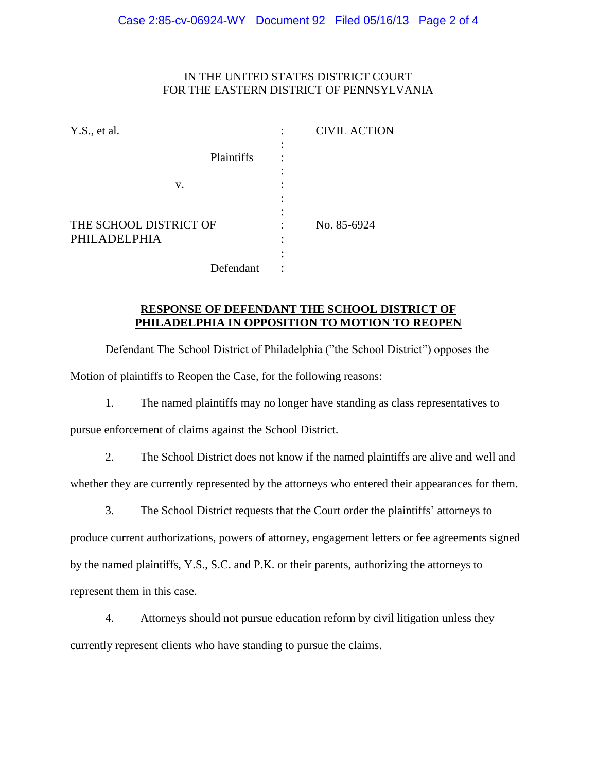# IN THE UNITED STATES DISTRICT COURT FOR THE EASTERN DISTRICT OF PENNSYLVANIA

| Y.S., et al.                           |            | <b>CIVIL ACTION</b> |
|----------------------------------------|------------|---------------------|
|                                        |            |                     |
|                                        | Plaintiffs |                     |
|                                        |            |                     |
| V.                                     |            |                     |
|                                        |            |                     |
|                                        |            |                     |
| THE SCHOOL DISTRICT OF<br>PHILADELPHIA |            | No. 85-6924         |
|                                        |            |                     |
|                                        |            |                     |
|                                        | Defendant  |                     |

## **RESPONSE OF DEFENDANT THE SCHOOL DISTRICT OF PHILADELPHIA IN OPPOSITION TO MOTION TO REOPEN**

Defendant The School District of Philadelphia ("the School District") opposes the Motion of plaintiffs to Reopen the Case, for the following reasons:

1. The named plaintiffs may no longer have standing as class representatives to

pursue enforcement of claims against the School District.

2. The School District does not know if the named plaintiffs are alive and well and

whether they are currently represented by the attorneys who entered their appearances for them.

3. The School District requests that the Court order the plaintiffs' attorneys to

produce current authorizations, powers of attorney, engagement letters or fee agreements signed by the named plaintiffs, Y.S., S.C. and P.K. or their parents, authorizing the attorneys to represent them in this case.

4. Attorneys should not pursue education reform by civil litigation unless they currently represent clients who have standing to pursue the claims.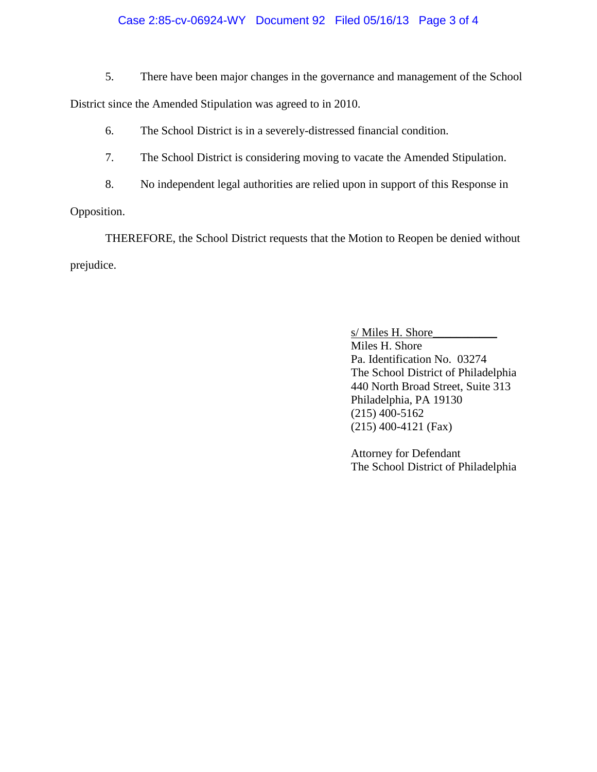## Case 2:85-cv-06924-WY Document 92 Filed 05/16/13 Page 3 of 4

5. There have been major changes in the governance and management of the School

District since the Amended Stipulation was agreed to in 2010.

6. The School District is in a severely-distressed financial condition.

7. The School District is considering moving to vacate the Amended Stipulation.

8. No independent legal authorities are relied upon in support of this Response in

Opposition.

THEREFORE, the School District requests that the Motion to Reopen be denied without prejudice.

> s/ Miles H. Shore Miles H. Shore Pa. Identification No. 03274 The School District of Philadelphia 440 North Broad Street, Suite 313 Philadelphia, PA 19130 (215) 400-5162 (215) 400-4121 (Fax)

> Attorney for Defendant The School District of Philadelphia